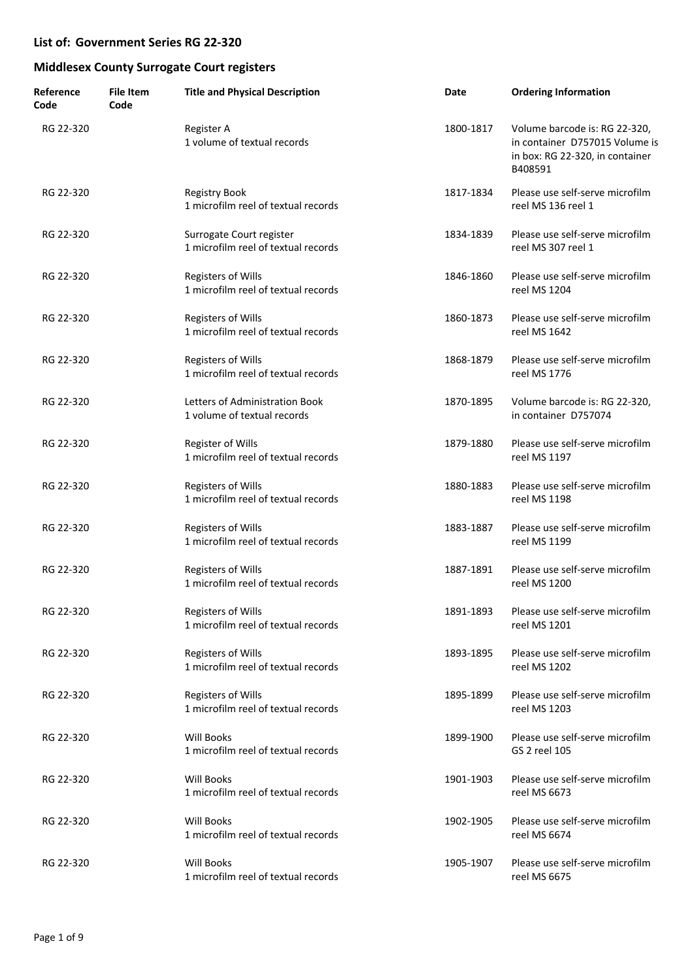| Reference<br>Code | <b>File Item</b><br>Code | <b>Title and Physical Description</b>                            | Date      | <b>Ordering Information</b>                                                                                   |
|-------------------|--------------------------|------------------------------------------------------------------|-----------|---------------------------------------------------------------------------------------------------------------|
| RG 22-320         |                          | Register A<br>1 volume of textual records                        | 1800-1817 | Volume barcode is: RG 22-320,<br>in container D757015 Volume is<br>in box: RG 22-320, in container<br>B408591 |
| RG 22-320         |                          | Registry Book<br>1 microfilm reel of textual records             | 1817-1834 | Please use self-serve microfilm<br>reel MS 136 reel 1                                                         |
| RG 22-320         |                          | Surrogate Court register<br>1 microfilm reel of textual records  | 1834-1839 | Please use self-serve microfilm<br>reel MS 307 reel 1                                                         |
| RG 22-320         |                          | <b>Registers of Wills</b><br>1 microfilm reel of textual records | 1846-1860 | Please use self-serve microfilm<br>reel MS 1204                                                               |
| RG 22-320         |                          | <b>Registers of Wills</b><br>1 microfilm reel of textual records | 1860-1873 | Please use self-serve microfilm<br>reel MS 1642                                                               |
| RG 22-320         |                          | <b>Registers of Wills</b><br>1 microfilm reel of textual records | 1868-1879 | Please use self-serve microfilm<br>reel MS 1776                                                               |
| RG 22-320         |                          | Letters of Administration Book<br>1 volume of textual records    | 1870-1895 | Volume barcode is: RG 22-320,<br>in container D757074                                                         |
| RG 22-320         |                          | Register of Wills<br>1 microfilm reel of textual records         | 1879-1880 | Please use self-serve microfilm<br>reel MS 1197                                                               |
| RG 22-320         |                          | <b>Registers of Wills</b><br>1 microfilm reel of textual records | 1880-1883 | Please use self-serve microfilm<br>reel MS 1198                                                               |
| RG 22-320         |                          | <b>Registers of Wills</b><br>1 microfilm reel of textual records | 1883-1887 | Please use self-serve microfilm<br>reel MS 1199                                                               |
| RG 22-320         |                          | <b>Registers of Wills</b><br>1 microfilm reel of textual records | 1887-1891 | Please use self-serve microfilm<br>reel MS 1200                                                               |
| RG 22-320         |                          | <b>Registers of Wills</b><br>1 microfilm reel of textual records | 1891-1893 | Please use self-serve microfilm<br>reel MS 1201                                                               |
| RG 22-320         |                          | <b>Registers of Wills</b><br>1 microfilm reel of textual records | 1893-1895 | Please use self-serve microfilm<br>reel MS 1202                                                               |
| RG 22-320         |                          | <b>Registers of Wills</b><br>1 microfilm reel of textual records | 1895-1899 | Please use self-serve microfilm<br>reel MS 1203                                                               |
| RG 22-320         |                          | <b>Will Books</b><br>1 microfilm reel of textual records         | 1899-1900 | Please use self-serve microfilm<br>GS 2 reel 105                                                              |
| RG 22-320         |                          | <b>Will Books</b><br>1 microfilm reel of textual records         | 1901-1903 | Please use self-serve microfilm<br>reel MS 6673                                                               |
| RG 22-320         |                          | <b>Will Books</b><br>1 microfilm reel of textual records         | 1902-1905 | Please use self-serve microfilm<br>reel MS 6674                                                               |
| RG 22-320         |                          | <b>Will Books</b><br>1 microfilm reel of textual records         | 1905-1907 | Please use self-serve microfilm<br>reel MS 6675                                                               |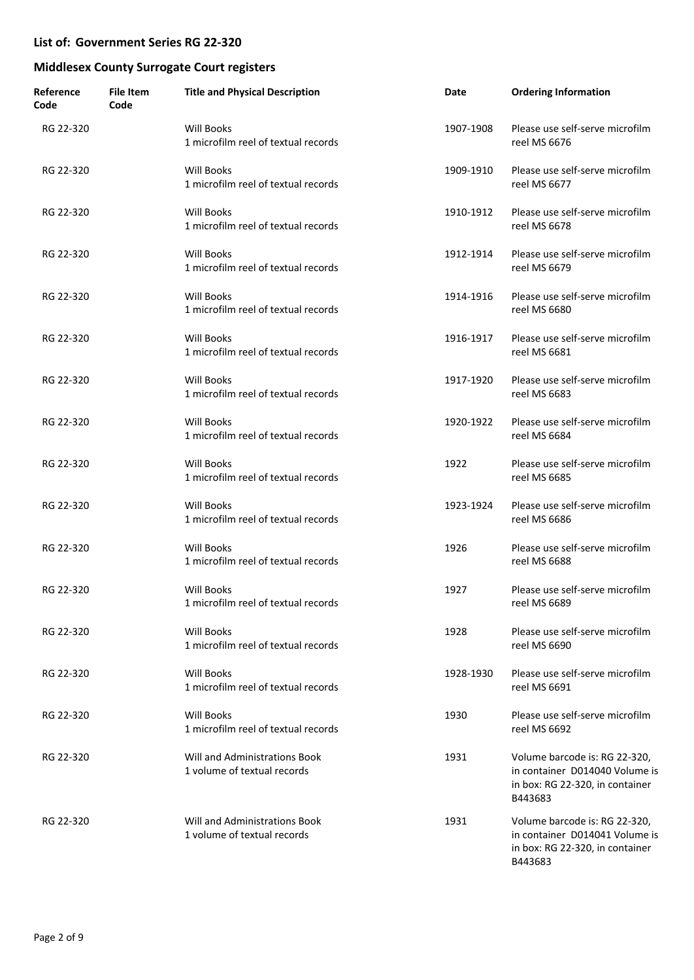| Reference<br>Code | <b>File Item</b><br>Code | <b>Title and Physical Description</b>                        | Date      | <b>Ordering Information</b>                                                                                   |
|-------------------|--------------------------|--------------------------------------------------------------|-----------|---------------------------------------------------------------------------------------------------------------|
| RG 22-320         |                          | <b>Will Books</b><br>1 microfilm reel of textual records     | 1907-1908 | Please use self-serve microfilm<br>reel MS 6676                                                               |
| RG 22-320         |                          | Will Books<br>1 microfilm reel of textual records            | 1909-1910 | Please use self-serve microfilm<br>reel MS 6677                                                               |
| RG 22-320         |                          | <b>Will Books</b><br>1 microfilm reel of textual records     | 1910-1912 | Please use self-serve microfilm<br>reel MS 6678                                                               |
| RG 22-320         |                          | Will Books<br>1 microfilm reel of textual records            | 1912-1914 | Please use self-serve microfilm<br>reel MS 6679                                                               |
| RG 22-320         |                          | Will Books<br>1 microfilm reel of textual records            | 1914-1916 | Please use self-serve microfilm<br>reel MS 6680                                                               |
| RG 22-320         |                          | Will Books<br>1 microfilm reel of textual records            | 1916-1917 | Please use self-serve microfilm<br>reel MS 6681                                                               |
| RG 22-320         |                          | <b>Will Books</b><br>1 microfilm reel of textual records     | 1917-1920 | Please use self-serve microfilm<br>reel MS 6683                                                               |
| RG 22-320         |                          | Will Books<br>1 microfilm reel of textual records            | 1920-1922 | Please use self-serve microfilm<br>reel MS 6684                                                               |
| RG 22-320         |                          | Will Books<br>1 microfilm reel of textual records            | 1922      | Please use self-serve microfilm<br>reel MS 6685                                                               |
| RG 22-320         |                          | Will Books<br>1 microfilm reel of textual records            | 1923-1924 | Please use self-serve microfilm<br>reel MS 6686                                                               |
| RG 22-320         |                          | Will Books<br>1 microfilm reel of textual records            | 1926      | Please use self-serve microfilm<br>reel MS 6688                                                               |
| RG 22-320         |                          | <b>Will Books</b><br>1 microfilm reel of textual records     | 1927      | Please use self-serve microfilm<br>reel MS 6689                                                               |
| RG 22-320         |                          | <b>Will Books</b><br>1 microfilm reel of textual records     | 1928      | Please use self-serve microfilm<br>reel MS 6690                                                               |
| RG 22-320         |                          | <b>Will Books</b><br>1 microfilm reel of textual records     | 1928-1930 | Please use self-serve microfilm<br>reel MS 6691                                                               |
| RG 22-320         |                          | Will Books<br>1 microfilm reel of textual records            | 1930      | Please use self-serve microfilm<br>reel MS 6692                                                               |
| RG 22-320         |                          | Will and Administrations Book<br>1 volume of textual records | 1931      | Volume barcode is: RG 22-320,<br>in container D014040 Volume is<br>in box: RG 22-320, in container<br>B443683 |
| RG 22-320         |                          | Will and Administrations Book<br>1 volume of textual records | 1931      | Volume barcode is: RG 22-320,<br>in container D014041 Volume is<br>in box: RG 22-320, in container<br>B443683 |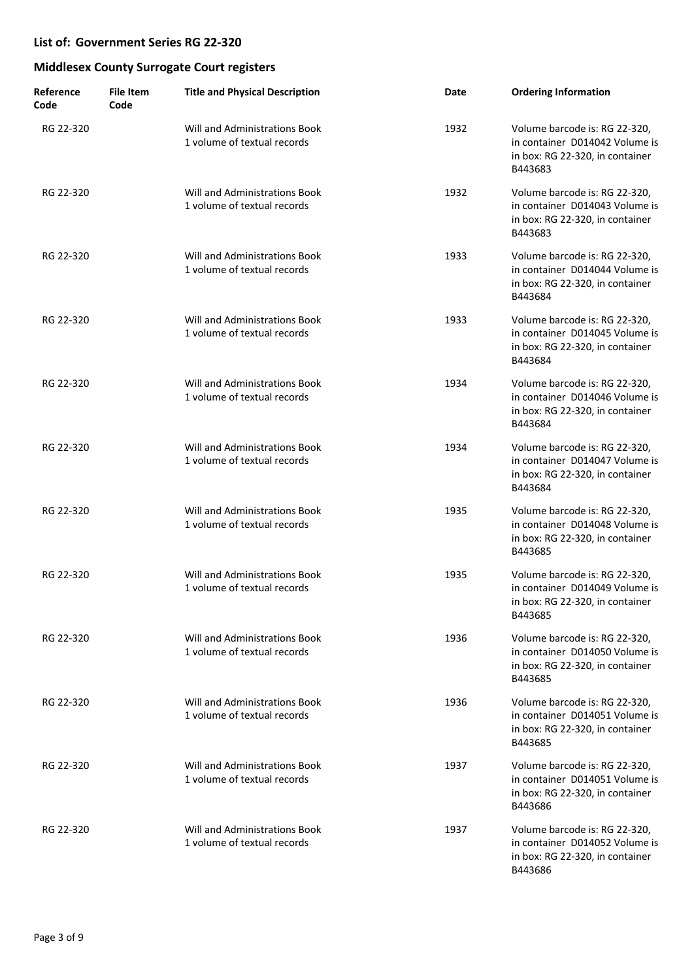| Reference<br>Code | <b>File Item</b><br>Code | <b>Title and Physical Description</b>                               | Date | <b>Ordering Information</b>                                                                                   |
|-------------------|--------------------------|---------------------------------------------------------------------|------|---------------------------------------------------------------------------------------------------------------|
| RG 22-320         |                          | Will and Administrations Book<br>1 volume of textual records        | 1932 | Volume barcode is: RG 22-320,<br>in container D014042 Volume is<br>in box: RG 22-320, in container<br>B443683 |
| RG 22-320         |                          | Will and Administrations Book<br>1 volume of textual records        | 1932 | Volume barcode is: RG 22-320,<br>in container D014043 Volume is<br>in box: RG 22-320, in container<br>B443683 |
| RG 22-320         |                          | Will and Administrations Book<br>1 volume of textual records        | 1933 | Volume barcode is: RG 22-320,<br>in container D014044 Volume is<br>in box: RG 22-320, in container<br>B443684 |
| RG 22-320         |                          | <b>Will and Administrations Book</b><br>1 volume of textual records | 1933 | Volume barcode is: RG 22-320,<br>in container D014045 Volume is<br>in box: RG 22-320, in container<br>B443684 |
| RG 22-320         |                          | Will and Administrations Book<br>1 volume of textual records        | 1934 | Volume barcode is: RG 22-320,<br>in container D014046 Volume is<br>in box: RG 22-320, in container<br>B443684 |
| RG 22-320         |                          | Will and Administrations Book<br>1 volume of textual records        | 1934 | Volume barcode is: RG 22-320,<br>in container D014047 Volume is<br>in box: RG 22-320, in container<br>B443684 |
| RG 22-320         |                          | Will and Administrations Book<br>1 volume of textual records        | 1935 | Volume barcode is: RG 22-320,<br>in container D014048 Volume is<br>in box: RG 22-320, in container<br>B443685 |
| RG 22-320         |                          | <b>Will and Administrations Book</b><br>1 volume of textual records | 1935 | Volume barcode is: RG 22-320,<br>in container D014049 Volume is<br>in box: RG 22-320, in container<br>B443685 |
| RG 22-320         |                          | Will and Administrations Book<br>1 volume of textual records        | 1936 | Volume barcode is: RG 22-320,<br>in container D014050 Volume is<br>in box: RG 22-320, in container<br>B443685 |
| RG 22-320         |                          | Will and Administrations Book<br>1 volume of textual records        | 1936 | Volume barcode is: RG 22-320,<br>in container D014051 Volume is<br>in box: RG 22-320, in container<br>B443685 |
| RG 22-320         |                          | Will and Administrations Book<br>1 volume of textual records        | 1937 | Volume barcode is: RG 22-320,<br>in container D014051 Volume is<br>in box: RG 22-320, in container<br>B443686 |
| RG 22-320         |                          | Will and Administrations Book<br>1 volume of textual records        | 1937 | Volume barcode is: RG 22-320,<br>in container D014052 Volume is<br>in box: RG 22-320, in container<br>B443686 |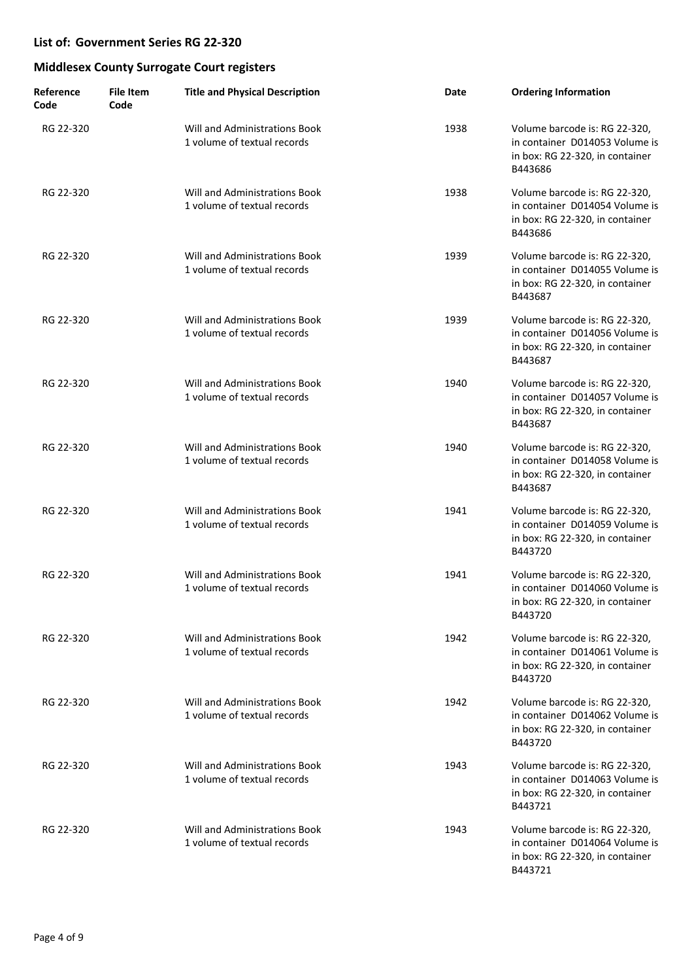| Reference<br>Code | File Item<br>Code | <b>Title and Physical Description</b>                        | Date | <b>Ordering Information</b>                                                                                   |
|-------------------|-------------------|--------------------------------------------------------------|------|---------------------------------------------------------------------------------------------------------------|
| RG 22-320         |                   | Will and Administrations Book<br>1 volume of textual records | 1938 | Volume barcode is: RG 22-320,<br>in container D014053 Volume is<br>in box: RG 22-320, in container<br>B443686 |
| RG 22-320         |                   | Will and Administrations Book<br>1 volume of textual records | 1938 | Volume barcode is: RG 22-320,<br>in container D014054 Volume is<br>in box: RG 22-320, in container<br>B443686 |
| RG 22-320         |                   | Will and Administrations Book<br>1 volume of textual records | 1939 | Volume barcode is: RG 22-320,<br>in container D014055 Volume is<br>in box: RG 22-320, in container<br>B443687 |
| RG 22-320         |                   | Will and Administrations Book<br>1 volume of textual records | 1939 | Volume barcode is: RG 22-320,<br>in container D014056 Volume is<br>in box: RG 22-320, in container<br>B443687 |
| RG 22-320         |                   | Will and Administrations Book<br>1 volume of textual records | 1940 | Volume barcode is: RG 22-320,<br>in container D014057 Volume is<br>in box: RG 22-320, in container<br>B443687 |
| RG 22-320         |                   | Will and Administrations Book<br>1 volume of textual records | 1940 | Volume barcode is: RG 22-320,<br>in container D014058 Volume is<br>in box: RG 22-320, in container<br>B443687 |
| RG 22-320         |                   | Will and Administrations Book<br>1 volume of textual records | 1941 | Volume barcode is: RG 22-320,<br>in container D014059 Volume is<br>in box: RG 22-320, in container<br>B443720 |
| RG 22-320         |                   | Will and Administrations Book<br>1 volume of textual records | 1941 | Volume barcode is: RG 22-320,<br>in container D014060 Volume is<br>in box: RG 22-320, in container<br>B443720 |
| RG 22-320         |                   | Will and Administrations Book<br>1 volume of textual records | 1942 | Volume barcode is: RG 22-320,<br>in container D014061 Volume is<br>in box: RG 22-320, in container<br>B443720 |
| RG 22-320         |                   | Will and Administrations Book<br>1 volume of textual records | 1942 | Volume barcode is: RG 22-320,<br>in container D014062 Volume is<br>in box: RG 22-320, in container<br>B443720 |
| RG 22-320         |                   | Will and Administrations Book<br>1 volume of textual records | 1943 | Volume barcode is: RG 22-320,<br>in container D014063 Volume is<br>in box: RG 22-320, in container<br>B443721 |
| RG 22-320         |                   | Will and Administrations Book<br>1 volume of textual records | 1943 | Volume barcode is: RG 22-320,<br>in container D014064 Volume is<br>in box: RG 22-320, in container<br>B443721 |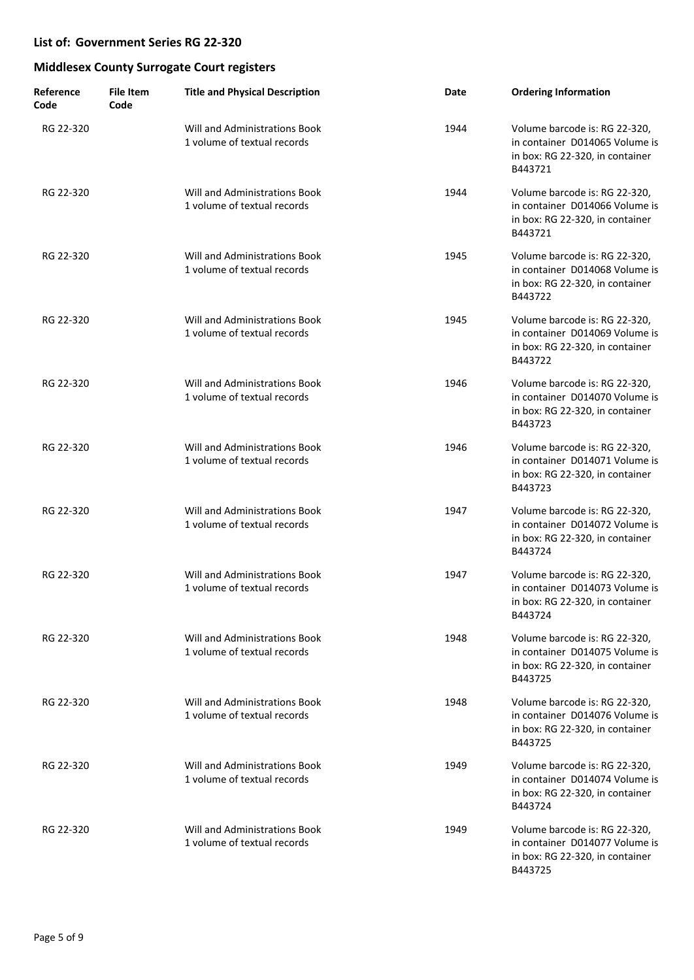| Reference<br>Code | <b>File Item</b><br>Code | <b>Title and Physical Description</b>                        | Date | <b>Ordering Information</b>                                                                                   |
|-------------------|--------------------------|--------------------------------------------------------------|------|---------------------------------------------------------------------------------------------------------------|
| RG 22-320         |                          | Will and Administrations Book<br>1 volume of textual records | 1944 | Volume barcode is: RG 22-320,<br>in container D014065 Volume is<br>in box: RG 22-320, in container<br>B443721 |
| RG 22-320         |                          | Will and Administrations Book<br>1 volume of textual records | 1944 | Volume barcode is: RG 22-320,<br>in container D014066 Volume is<br>in box: RG 22-320, in container<br>B443721 |
| RG 22-320         |                          | Will and Administrations Book<br>1 volume of textual records | 1945 | Volume barcode is: RG 22-320,<br>in container D014068 Volume is<br>in box: RG 22-320, in container<br>B443722 |
| RG 22-320         |                          | Will and Administrations Book<br>1 volume of textual records | 1945 | Volume barcode is: RG 22-320,<br>in container D014069 Volume is<br>in box: RG 22-320, in container<br>B443722 |
| RG 22-320         |                          | Will and Administrations Book<br>1 volume of textual records | 1946 | Volume barcode is: RG 22-320,<br>in container D014070 Volume is<br>in box: RG 22-320, in container<br>B443723 |
| RG 22-320         |                          | Will and Administrations Book<br>1 volume of textual records | 1946 | Volume barcode is: RG 22-320,<br>in container D014071 Volume is<br>in box: RG 22-320, in container<br>B443723 |
| RG 22-320         |                          | Will and Administrations Book<br>1 volume of textual records | 1947 | Volume barcode is: RG 22-320,<br>in container D014072 Volume is<br>in box: RG 22-320, in container<br>B443724 |
| RG 22-320         |                          | Will and Administrations Book<br>1 volume of textual records | 1947 | Volume barcode is: RG 22-320,<br>in container D014073 Volume is<br>in box: RG 22-320, in container<br>B443724 |
| RG 22-320         |                          | Will and Administrations Book<br>1 volume of textual records | 1948 | Volume barcode is: RG 22-320,<br>in container D014075 Volume is<br>in box: RG 22-320, in container<br>B443725 |
| RG 22-320         |                          | Will and Administrations Book<br>1 volume of textual records | 1948 | Volume barcode is: RG 22-320,<br>in container D014076 Volume is<br>in box: RG 22-320, in container<br>B443725 |
| RG 22-320         |                          | Will and Administrations Book<br>1 volume of textual records | 1949 | Volume barcode is: RG 22-320,<br>in container D014074 Volume is<br>in box: RG 22-320, in container<br>B443724 |
| RG 22-320         |                          | Will and Administrations Book<br>1 volume of textual records | 1949 | Volume barcode is: RG 22-320,<br>in container D014077 Volume is<br>in box: RG 22-320, in container<br>B443725 |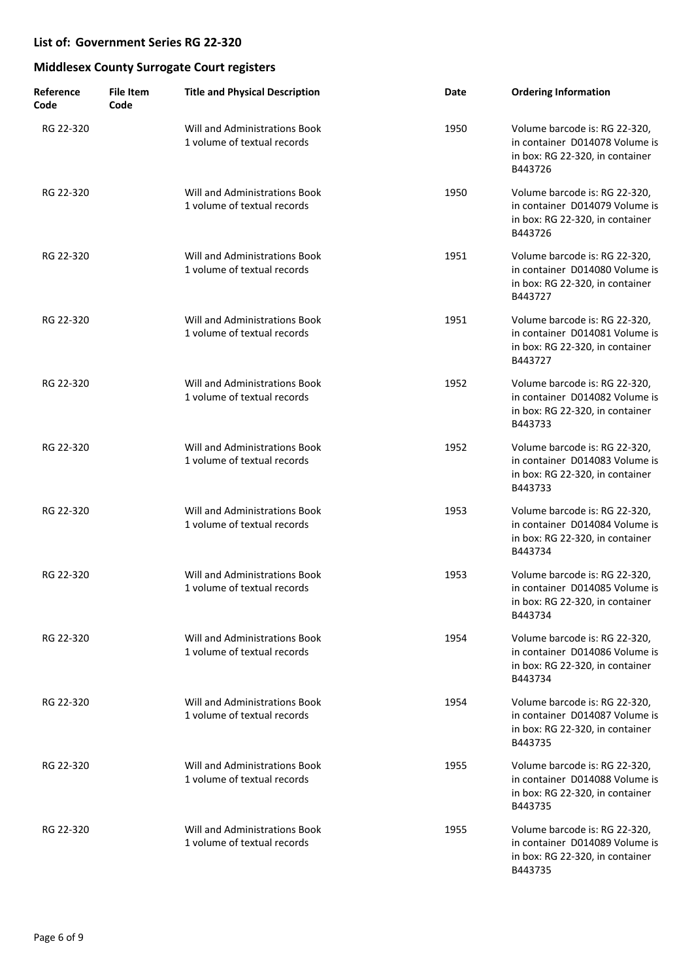| Reference<br>Code | <b>File Item</b><br>Code | <b>Title and Physical Description</b>                        | Date | <b>Ordering Information</b>                                                                                   |
|-------------------|--------------------------|--------------------------------------------------------------|------|---------------------------------------------------------------------------------------------------------------|
| RG 22-320         |                          | Will and Administrations Book<br>1 volume of textual records | 1950 | Volume barcode is: RG 22-320,<br>in container D014078 Volume is<br>in box: RG 22-320, in container<br>B443726 |
| RG 22-320         |                          | Will and Administrations Book<br>1 volume of textual records | 1950 | Volume barcode is: RG 22-320,<br>in container D014079 Volume is<br>in box: RG 22-320, in container<br>B443726 |
| RG 22-320         |                          | Will and Administrations Book<br>1 volume of textual records | 1951 | Volume barcode is: RG 22-320,<br>in container D014080 Volume is<br>in box: RG 22-320, in container<br>B443727 |
| RG 22-320         |                          | Will and Administrations Book<br>1 volume of textual records | 1951 | Volume barcode is: RG 22-320,<br>in container D014081 Volume is<br>in box: RG 22-320, in container<br>B443727 |
| RG 22-320         |                          | Will and Administrations Book<br>1 volume of textual records | 1952 | Volume barcode is: RG 22-320,<br>in container D014082 Volume is<br>in box: RG 22-320, in container<br>B443733 |
| RG 22-320         |                          | Will and Administrations Book<br>1 volume of textual records | 1952 | Volume barcode is: RG 22-320,<br>in container D014083 Volume is<br>in box: RG 22-320, in container<br>B443733 |
| RG 22-320         |                          | Will and Administrations Book<br>1 volume of textual records | 1953 | Volume barcode is: RG 22-320,<br>in container D014084 Volume is<br>in box: RG 22-320, in container<br>B443734 |
| RG 22-320         |                          | Will and Administrations Book<br>1 volume of textual records | 1953 | Volume barcode is: RG 22-320,<br>in container D014085 Volume is<br>in box: RG 22-320, in container<br>B443734 |
| RG 22-320         |                          | Will and Administrations Book<br>1 volume of textual records | 1954 | Volume barcode is: RG 22-320,<br>in container D014086 Volume is<br>in box: RG 22-320, in container<br>B443734 |
| RG 22-320         |                          | Will and Administrations Book<br>1 volume of textual records | 1954 | Volume barcode is: RG 22-320,<br>in container D014087 Volume is<br>in box: RG 22-320, in container<br>B443735 |
| RG 22-320         |                          | Will and Administrations Book<br>1 volume of textual records | 1955 | Volume barcode is: RG 22-320,<br>in container D014088 Volume is<br>in box: RG 22-320, in container<br>B443735 |
| RG 22-320         |                          | Will and Administrations Book<br>1 volume of textual records | 1955 | Volume barcode is: RG 22-320,<br>in container D014089 Volume is<br>in box: RG 22-320, in container<br>B443735 |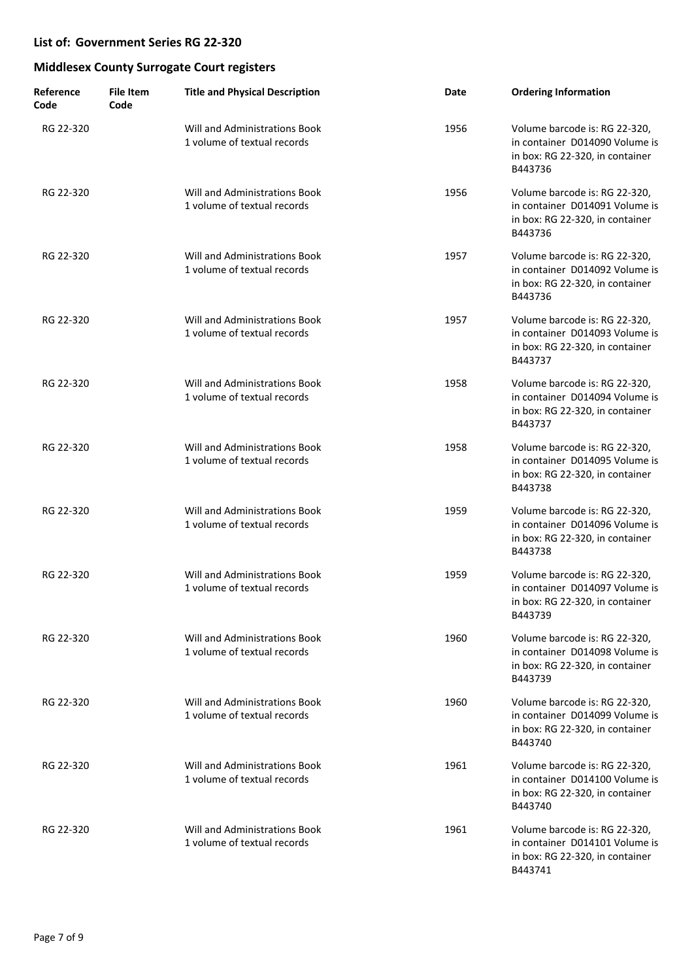| Reference<br>Code | File Item<br>Code | <b>Title and Physical Description</b>                        | Date | <b>Ordering Information</b>                                                                                   |
|-------------------|-------------------|--------------------------------------------------------------|------|---------------------------------------------------------------------------------------------------------------|
| RG 22-320         |                   | Will and Administrations Book<br>1 volume of textual records | 1956 | Volume barcode is: RG 22-320,<br>in container D014090 Volume is<br>in box: RG 22-320, in container<br>B443736 |
| RG 22-320         |                   | Will and Administrations Book<br>1 volume of textual records | 1956 | Volume barcode is: RG 22-320,<br>in container D014091 Volume is<br>in box: RG 22-320, in container<br>B443736 |
| RG 22-320         |                   | Will and Administrations Book<br>1 volume of textual records | 1957 | Volume barcode is: RG 22-320,<br>in container D014092 Volume is<br>in box: RG 22-320, in container<br>B443736 |
| RG 22-320         |                   | Will and Administrations Book<br>1 volume of textual records | 1957 | Volume barcode is: RG 22-320,<br>in container D014093 Volume is<br>in box: RG 22-320, in container<br>B443737 |
| RG 22-320         |                   | Will and Administrations Book<br>1 volume of textual records | 1958 | Volume barcode is: RG 22-320,<br>in container D014094 Volume is<br>in box: RG 22-320, in container<br>B443737 |
| RG 22-320         |                   | Will and Administrations Book<br>1 volume of textual records | 1958 | Volume barcode is: RG 22-320,<br>in container D014095 Volume is<br>in box: RG 22-320, in container<br>B443738 |
| RG 22-320         |                   | Will and Administrations Book<br>1 volume of textual records | 1959 | Volume barcode is: RG 22-320,<br>in container D014096 Volume is<br>in box: RG 22-320, in container<br>B443738 |
| RG 22-320         |                   | Will and Administrations Book<br>1 volume of textual records | 1959 | Volume barcode is: RG 22-320,<br>in container D014097 Volume is<br>in box: RG 22-320, in container<br>B443739 |
| RG 22-320         |                   | Will and Administrations Book<br>1 volume of textual records | 1960 | Volume barcode is: RG 22-320,<br>in container D014098 Volume is<br>in box: RG 22-320, in container<br>B443739 |
| RG 22-320         |                   | Will and Administrations Book<br>1 volume of textual records | 1960 | Volume barcode is: RG 22-320,<br>in container D014099 Volume is<br>in box: RG 22-320, in container<br>B443740 |
| RG 22-320         |                   | Will and Administrations Book<br>1 volume of textual records | 1961 | Volume barcode is: RG 22-320,<br>in container D014100 Volume is<br>in box: RG 22-320, in container<br>B443740 |
| RG 22-320         |                   | Will and Administrations Book<br>1 volume of textual records | 1961 | Volume barcode is: RG 22-320,<br>in container D014101 Volume is<br>in box: RG 22-320, in container<br>B443741 |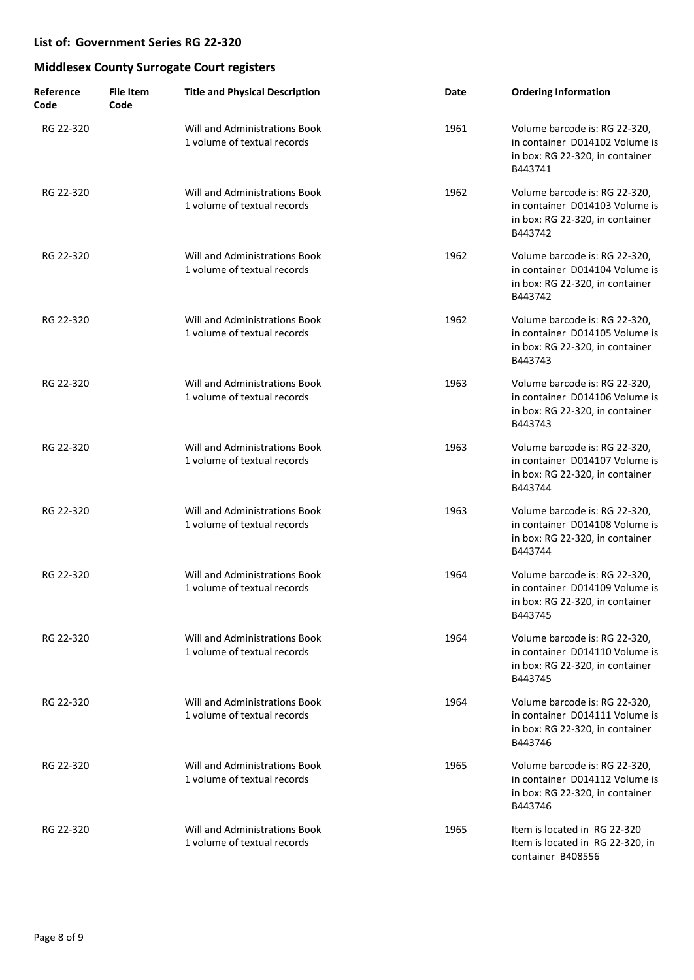| Reference<br>Code | <b>File Item</b><br>Code | <b>Title and Physical Description</b>                               | Date | <b>Ordering Information</b>                                                                                   |
|-------------------|--------------------------|---------------------------------------------------------------------|------|---------------------------------------------------------------------------------------------------------------|
| RG 22-320         |                          | Will and Administrations Book<br>1 volume of textual records        | 1961 | Volume barcode is: RG 22-320,<br>in container D014102 Volume is<br>in box: RG 22-320, in container<br>B443741 |
| RG 22-320         |                          | Will and Administrations Book<br>1 volume of textual records        | 1962 | Volume barcode is: RG 22-320,<br>in container D014103 Volume is<br>in box: RG 22-320, in container<br>B443742 |
| RG 22-320         |                          | Will and Administrations Book<br>1 volume of textual records        | 1962 | Volume barcode is: RG 22-320,<br>in container D014104 Volume is<br>in box: RG 22-320, in container<br>B443742 |
| RG 22-320         |                          | <b>Will and Administrations Book</b><br>1 volume of textual records | 1962 | Volume barcode is: RG 22-320,<br>in container D014105 Volume is<br>in box: RG 22-320, in container<br>B443743 |
| RG 22-320         |                          | Will and Administrations Book<br>1 volume of textual records        | 1963 | Volume barcode is: RG 22-320,<br>in container D014106 Volume is<br>in box: RG 22-320, in container<br>B443743 |
| RG 22-320         |                          | Will and Administrations Book<br>1 volume of textual records        | 1963 | Volume barcode is: RG 22-320,<br>in container D014107 Volume is<br>in box: RG 22-320, in container<br>B443744 |
| RG 22-320         |                          | Will and Administrations Book<br>1 volume of textual records        | 1963 | Volume barcode is: RG 22-320,<br>in container D014108 Volume is<br>in box: RG 22-320, in container<br>B443744 |
| RG 22-320         |                          | <b>Will and Administrations Book</b><br>1 volume of textual records | 1964 | Volume barcode is: RG 22-320,<br>in container D014109 Volume is<br>in box: RG 22-320, in container<br>B443745 |
| RG 22-320         |                          | Will and Administrations Book<br>1 volume of textual records        | 1964 | Volume barcode is: RG 22-320,<br>in container D014110 Volume is<br>in box: RG 22-320, in container<br>B443745 |
| RG 22-320         |                          | <b>Will and Administrations Book</b><br>1 volume of textual records | 1964 | Volume barcode is: RG 22-320,<br>in container D014111 Volume is<br>in box: RG 22-320, in container<br>B443746 |
| RG 22-320         |                          | Will and Administrations Book<br>1 volume of textual records        | 1965 | Volume barcode is: RG 22-320,<br>in container D014112 Volume is<br>in box: RG 22-320, in container<br>B443746 |
| RG 22-320         |                          | Will and Administrations Book<br>1 volume of textual records        | 1965 | Item is located in RG 22-320<br>Item is located in RG 22-320, in<br>container B408556                         |